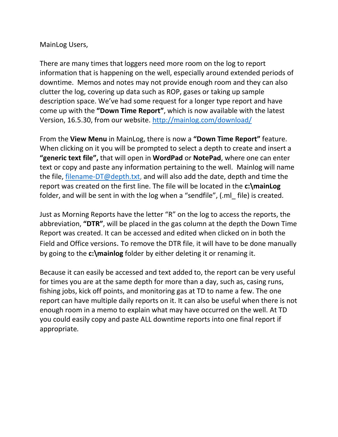## MainLog Users,

There are many times that loggers need more room on the log to report information that is happening on the well, especially around extended periods of downtime. Memos and notes may not provide enough room and they can also clutter the log, covering up data such as ROP, gases or taking up sample description space. We've had some request for a longer type report and have come up with the **"Down Time Report"**, which is now available with the latest Version, 16.5.30, from our website. <http://mainlog.com/download/>

From the **View Menu** in MainLog, there is now a **"Down Time Report"** feature. When clicking on it you will be prompted to select a depth to create and insert a **"generic text file",** that will open in **WordPad** or **NotePad**, where one can enter text or copy and paste any information pertaining to the well. Mainlog will name the file, [filename-DT@depth.txt,](mailto:filename-DT@depth.txt) and will also add the date, depth and time the report was created on the first line. The file will be located in the **c:\mainLog** folder, and will be sent in with the log when a "sendfile", (.ml\_ file) is created.

Just as Morning Reports have the letter "R" on the log to access the reports, the abbreviation, **"DTR"**, will be placed in the gas column at the depth the Down Time Report was created. It can be accessed and edited when clicked on in both the Field and Office versions. To remove the DTR file, it will have to be done manually by going to the **c:\mainlog** folder by either deleting it or renaming it.

Because it can easily be accessed and text added to, the report can be very useful for times you are at the same depth for more than a day, such as, casing runs, fishing jobs, kick off points, and monitoring gas at TD to name a few. The one report can have multiple daily reports on it. It can also be useful when there is not enough room in a memo to explain what may have occurred on the well. At TD you could easily copy and paste ALL downtime reports into one final report if appropriate*.*